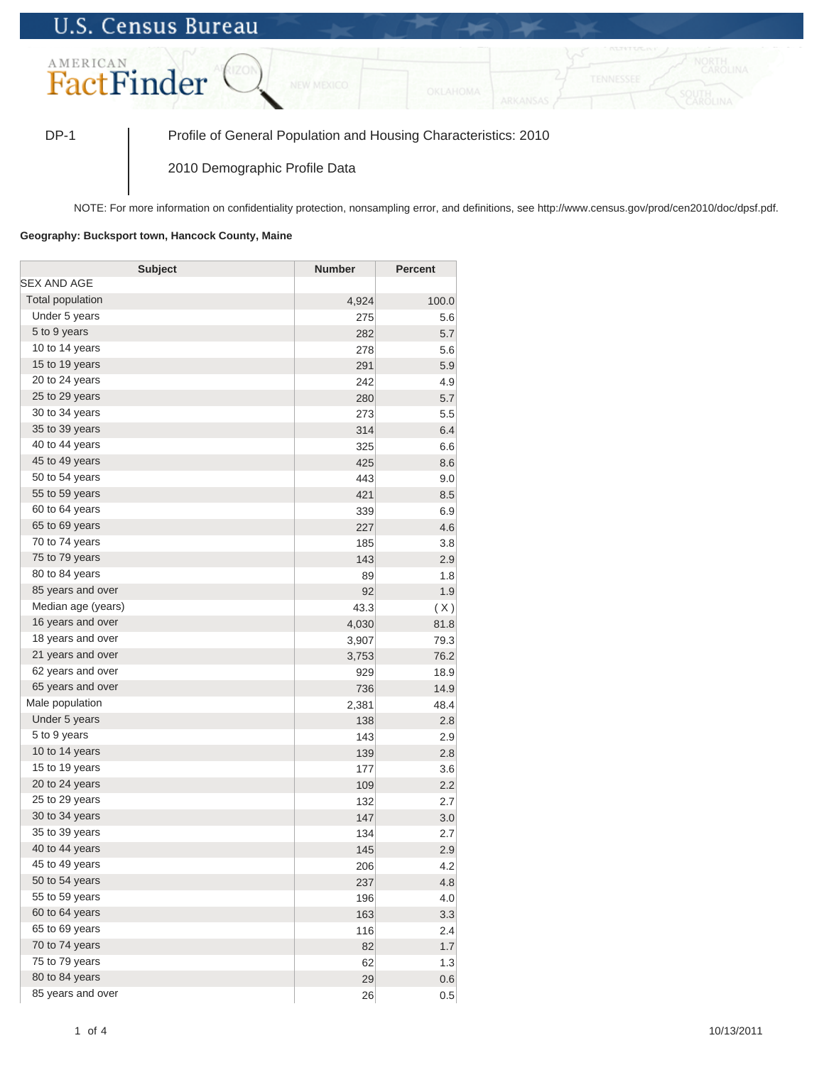## **U.S. Census Bureau**



DP-1 Profile of General Population and Housing Characteristics: 2010

2010 Demographic Profile Data

NOTE: For more information on confidentiality protection, nonsampling error, and definitions, see http://www.census.gov/prod/cen2010/doc/dpsf.pdf.

## **Geography: Bucksport town, Hancock County, Maine**

| <b>Subject</b>     | <b>Number</b> | <b>Percent</b> |
|--------------------|---------------|----------------|
| SEX AND AGE        |               |                |
| Total population   | 4,924         | 100.0          |
| Under 5 years      | 275           | 5.6            |
| 5 to 9 years       | 282           | 5.7            |
| 10 to 14 years     | 278           | 5.6            |
| 15 to 19 years     | 291           | 5.9            |
| 20 to 24 years     | 242           | 4.9            |
| 25 to 29 years     | 280           | 5.7            |
| 30 to 34 years     | 273           | 5.5            |
| 35 to 39 years     | 314           | 6.4            |
| 40 to 44 years     | 325           | 6.6            |
| 45 to 49 years     | 425           | 8.6            |
| 50 to 54 years     | 443           | 9.0            |
| 55 to 59 years     | 421           | 8.5            |
| 60 to 64 years     | 339           | 6.9            |
| 65 to 69 years     | 227           | 4.6            |
| 70 to 74 years     | 185           | 3.8            |
| 75 to 79 years     | 143           | 2.9            |
| 80 to 84 years     | 89            | 1.8            |
| 85 years and over  | 92            | 1.9            |
| Median age (years) | 43.3          | (X)            |
| 16 years and over  | 4,030         | 81.8           |
| 18 years and over  | 3,907         | 79.3           |
| 21 years and over  | 3,753         | 76.2           |
| 62 years and over  | 929           | 18.9           |
| 65 years and over  | 736           | 14.9           |
| Male population    | 2,381         | 48.4           |
| Under 5 years      | 138           | 2.8            |
| 5 to 9 years       | 143           | 2.9            |
| 10 to 14 years     | 139           | 2.8            |
| 15 to 19 years     | 177           | 3.6            |
| 20 to 24 years     | 109           | 2.2            |
| 25 to 29 years     | 132           | 2.7            |
| 30 to 34 years     | 147           | 3.0            |
| 35 to 39 years     | 134           | 2.7            |
| 40 to 44 years     | 145           | 2.9            |
| 45 to 49 years     | 206           | 4.2            |
| 50 to 54 years     | 237           | 4.8            |
| 55 to 59 years     | 196           | 4.0            |
| 60 to 64 years     | 163           | 3.3            |
| 65 to 69 years     | 116           | 2.4            |
| 70 to 74 years     | 82            | 1.7            |
| 75 to 79 years     | 62            | 1.3            |
| 80 to 84 years     | 29            | 0.6            |
| 85 years and over  | 26            | 0.5            |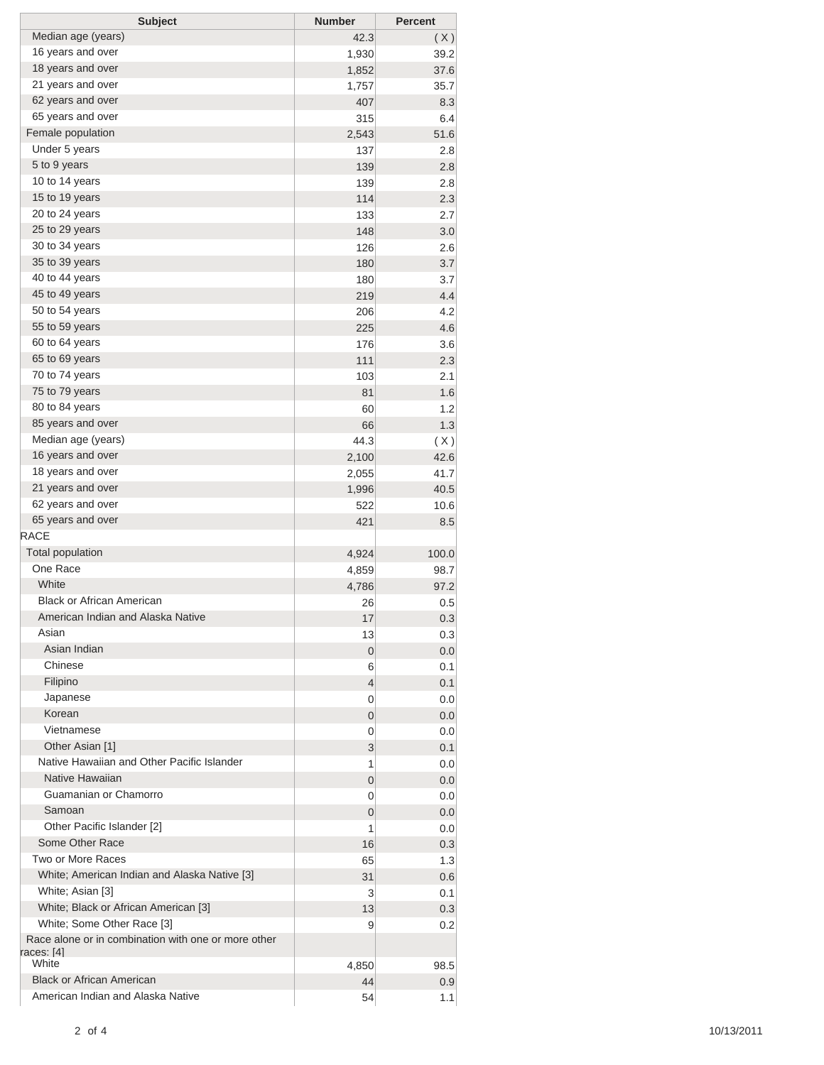| <b>Subject</b>                                      | <b>Number</b>  | <b>Percent</b> |
|-----------------------------------------------------|----------------|----------------|
| Median age (years)                                  | 42.3           | (X)            |
| 16 years and over                                   | 1,930          | 39.2           |
| 18 years and over                                   | 1,852          | 37.6           |
| 21 years and over                                   | 1,757          | 35.7           |
| 62 years and over                                   | 407            | 8.3            |
| 65 years and over                                   | 315            | 6.4            |
| Female population                                   | 2,543          | 51.6           |
| Under 5 years                                       | 137            | 2.8            |
| 5 to 9 years                                        | 139            | 2.8            |
| 10 to 14 years                                      | 139            | 2.8            |
| 15 to 19 years                                      | 114            | 2.3            |
| 20 to 24 years                                      | 133            | 2.7            |
| 25 to 29 years                                      | 148            | 3.0            |
| 30 to 34 years                                      | 126            | 2.6            |
| 35 to 39 years                                      | 180            | 3.7            |
| 40 to 44 years                                      | 180            | 3.7            |
| 45 to 49 years                                      | 219            | 4.4            |
| 50 to 54 years                                      | 206            | 4.2            |
| 55 to 59 years                                      | 225            | 4.6            |
| 60 to 64 years                                      | 176            | 3.6            |
| 65 to 69 years                                      | 111            | 2.3            |
| 70 to 74 years                                      |                |                |
| 75 to 79 years                                      | 103            | 2.1            |
| 80 to 84 years                                      | 81             | 1.6            |
|                                                     | 60             | 1.2            |
| 85 years and over                                   | 66             | 1.3            |
| Median age (years)                                  | 44.3           | (X)            |
| 16 years and over                                   | 2,100          | 42.6           |
| 18 years and over                                   | 2,055          | 41.7           |
| 21 years and over                                   | 1,996          | 40.5           |
| 62 years and over                                   | 522            | 10.6           |
| 65 years and over                                   | 421            | 8.5            |
| <b>RACE</b>                                         |                |                |
| <b>Total population</b>                             | 4,924          | 100.0          |
| One Race                                            | 4,859          | 98.7           |
| White                                               | 4,786          | 97.2           |
| <b>Black or African American</b>                    | 26             | 0.5            |
| American Indian and Alaska Native                   | 17             | 0.3            |
| Asian                                               | 13             | 0.3            |
| Asian Indian                                        | 0              | 0.0            |
| Chinese                                             | 6              | 0.1            |
| Filipino                                            | 4              | 0.1            |
| Japanese                                            | 0              | 0.0            |
| Korean                                              | 0              | 0.0            |
| Vietnamese                                          | 0              | 0.0            |
| Other Asian [1]                                     | 3              | 0.1            |
| Native Hawaiian and Other Pacific Islander          | 1              | 0.0            |
| Native Hawaiian                                     | $\overline{0}$ | 0.0            |
| Guamanian or Chamorro                               | 0              | 0.0            |
| Samoan                                              | 0              | 0.0            |
| Other Pacific Islander [2]                          | 1              | 0.0            |
| Some Other Race                                     | 16             | 0.3            |
| Two or More Races                                   | 65             | 1.3            |
| White; American Indian and Alaska Native [3]        | 31             | 0.6            |
| White; Asian [3]                                    | 3              | 0.1            |
| White; Black or African American [3]                | 13             | 0.3            |
| White; Some Other Race [3]                          | 9              | 0.2            |
| Race alone or in combination with one or more other |                |                |
| races: [4]                                          |                |                |
| White                                               | 4,850          | 98.5           |
| <b>Black or African American</b>                    | 44             | 0.9            |
| American Indian and Alaska Native                   | 54             | 1.1            |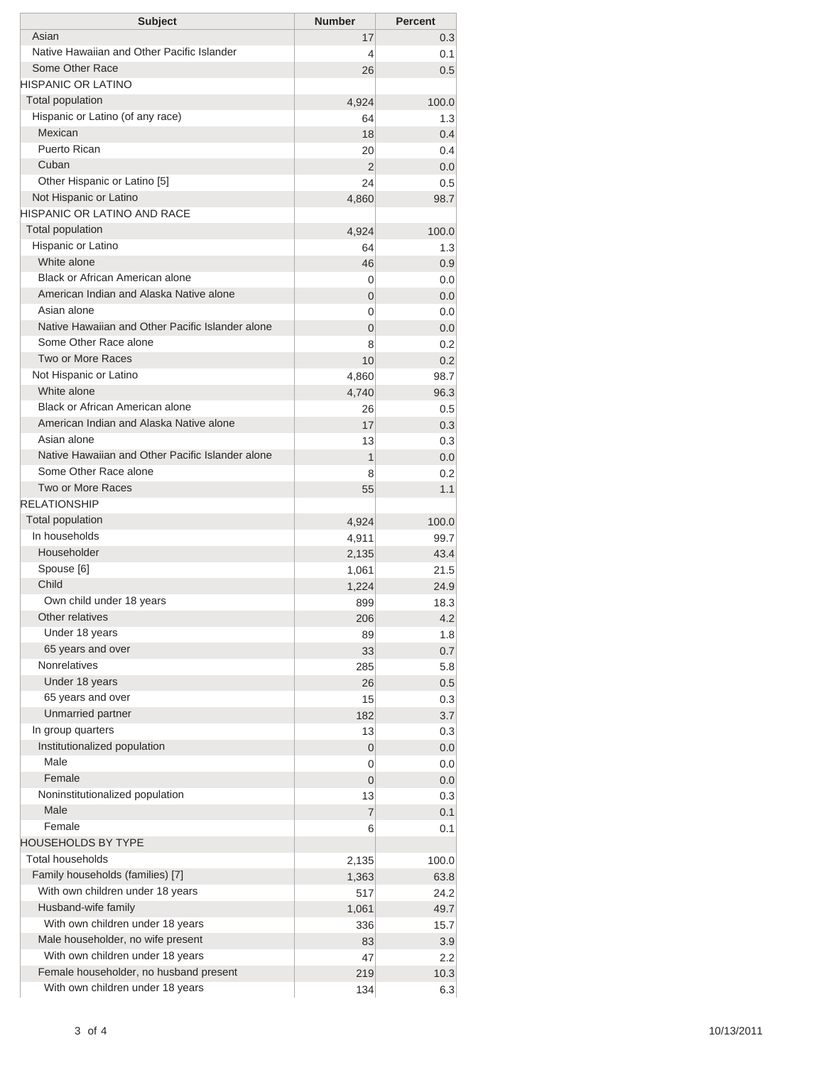| <b>Subject</b>                                                            | <b>Number</b>  | <b>Percent</b> |
|---------------------------------------------------------------------------|----------------|----------------|
| Asian                                                                     | 17             | 0.3            |
| Native Hawaiian and Other Pacific Islander                                | 4              | 0.1            |
| Some Other Race                                                           | 26             | 0.5            |
| <b>HISPANIC OR LATINO</b>                                                 |                |                |
| <b>Total population</b>                                                   | 4,924          | 100.0          |
| Hispanic or Latino (of any race)                                          | 64             | 1.3            |
| Mexican                                                                   | 18             | 0.4            |
| Puerto Rican                                                              | 20             | 0.4            |
| Cuban                                                                     | 2              | 0.0            |
| Other Hispanic or Latino [5]                                              | 24             | 0.5            |
| Not Hispanic or Latino                                                    | 4,860          | 98.7           |
| HISPANIC OR LATINO AND RACE                                               |                |                |
| <b>Total population</b>                                                   | 4,924          | 100.0          |
| Hispanic or Latino                                                        | 64             | 1.3            |
| White alone<br>Black or African American alone                            | 46             | 0.9            |
| American Indian and Alaska Native alone                                   | 0              | 0.0            |
| Asian alone                                                               | 0              | 0.0            |
|                                                                           | 0              | 0.0            |
| Native Hawaiian and Other Pacific Islander alone<br>Some Other Race alone | $\overline{0}$ | 0.0            |
| Two or More Races                                                         | 8              | 0.2            |
|                                                                           | 10             | 0.2            |
| Not Hispanic or Latino<br>White alone                                     | 4,860          | 98.7           |
| Black or African American alone                                           | 4,740          | 96.3           |
| American Indian and Alaska Native alone                                   | 26             | 0.5            |
| Asian alone                                                               | 17             | 0.3            |
| Native Hawaiian and Other Pacific Islander alone                          | 13             | 0.3            |
| Some Other Race alone                                                     | 1              | 0.0            |
| Two or More Races                                                         | 8              | 0.2            |
| <b>RELATIONSHIP</b>                                                       | 55             | 1.1            |
| Total population                                                          |                |                |
| In households                                                             | 4,924          | 100.0<br>99.7  |
| Householder                                                               | 4,911          | 43.4           |
| Spouse [6]                                                                | 2,135<br>1,061 | 21.5           |
| Child                                                                     | 1,224          | 24.9           |
| Own child under 18 years                                                  | 899            | 18.3           |
| Other relatives                                                           | 206            | 4.2            |
| Under 18 years                                                            | 89             | 1.8            |
| 65 years and over                                                         | 33             | 0.7            |
| <b>Nonrelatives</b>                                                       | 285            | 5.8            |
| Under 18 years                                                            | 26             | 0.5            |
| 65 years and over                                                         | 15             | 0.3            |
| Unmarried partner                                                         | 182            | 3.7            |
| In group quarters                                                         | 13             | 0.3            |
| Institutionalized population                                              | $\overline{0}$ | 0.0            |
| Male                                                                      | 0              | 0.0            |
| Female                                                                    | 0              | 0.0            |
| Noninstitutionalized population                                           | 13             | 0.3            |
| Male                                                                      | 7              | 0.1            |
| Female                                                                    | 6              | 0.1            |
| <b>HOUSEHOLDS BY TYPE</b>                                                 |                |                |
| Total households                                                          | 2,135          | 100.0          |
| Family households (families) [7]                                          | 1,363          | 63.8           |
| With own children under 18 years                                          | 517            | 24.2           |
| Husband-wife family                                                       | 1,061          | 49.7           |
| With own children under 18 years                                          | 336            | 15.7           |
| Male householder, no wife present                                         | 83             | 3.9            |
| With own children under 18 years                                          | 47             | 2.2            |
|                                                                           |                |                |
| Female householder, no husband present                                    | 219            | 10.3           |